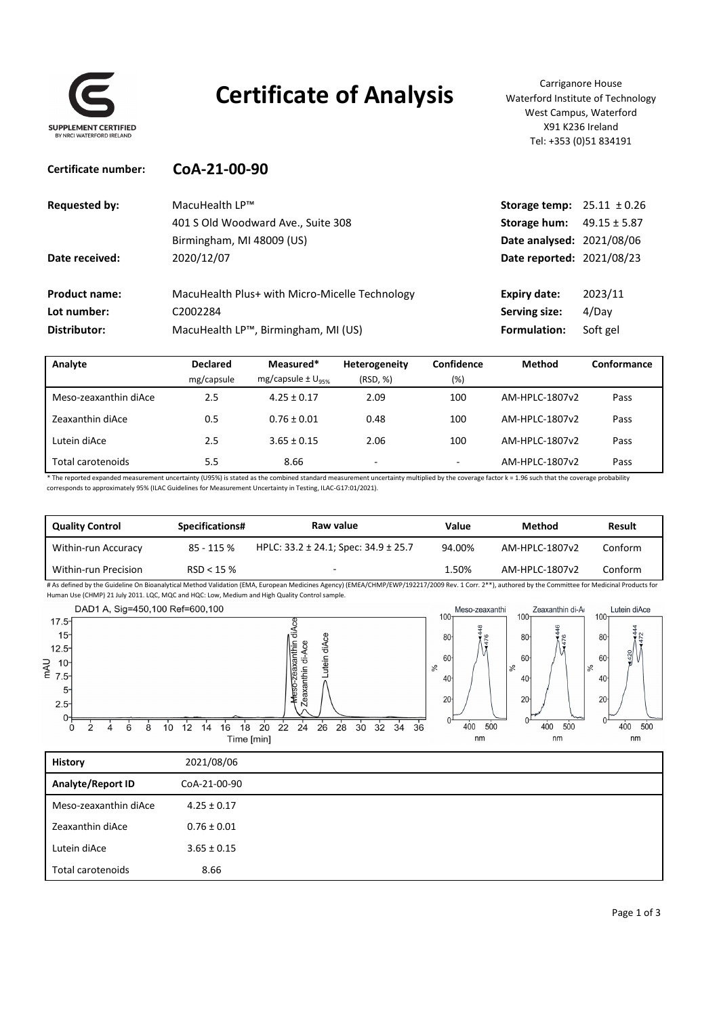

### **Certificate of Analysis** Waterford Institute of Tech

Waterford Institute of Technology West Campus, Waterford X91 K236 Ireland Tel: +353 (0)51 834191

| Certificate number:  | CoA-21-00-90                                   |                                       |                  |
|----------------------|------------------------------------------------|---------------------------------------|------------------|
| <b>Requested by:</b> | MacuHealth LP™                                 | <b>Storage temp:</b> $25.11 \pm 0.26$ |                  |
|                      | 401 S Old Woodward Ave., Suite 308             | Storage hum:                          | $49.15 \pm 5.87$ |
|                      | Birmingham, MI 48009 (US)                      | Date analysed: 2021/08/06             |                  |
| Date received:       | 2020/12/07                                     | Date reported: 2021/08/23             |                  |
| <b>Product name:</b> | MacuHealth Plus+ with Micro-Micelle Technology | <b>Expiry date:</b>                   | 2023/11          |
| Lot number:          | C2002284                                       | Serving size:                         | 4/Day            |
| Distributor:         | MacuHealth LP™, Birmingham, MI (US)            | Formulation:                          | Soft gel         |

| Analyte               | <b>Declared</b> | Measured*                       | Heterogeneity | Confidence               | <b>Method</b>  | Conformance |
|-----------------------|-----------------|---------------------------------|---------------|--------------------------|----------------|-------------|
|                       | mg/capsule      | $mg/capsule \pm U_{\text{new}}$ | (RSD, %)      | (%)                      |                |             |
| Meso-zeaxanthin diAce | 2.5             | $4.25 \pm 0.17$                 | 2.09          | 100                      | AM-HPLC-1807v2 | Pass        |
| Zeaxanthin diAce      | 0.5             | $0.76 \pm 0.01$                 | 0.48          | 100                      | AM-HPLC-1807v2 | Pass        |
| Lutein diAce          | 2.5             | $3.65 \pm 0.15$                 | 2.06          | 100                      | AM-HPLC-1807v2 | Pass        |
| Total carotenoids     | 5.5             | 8.66                            | -             | $\overline{\phantom{a}}$ | AM-HPLC-1807v2 | Pass        |

\* The reported expanded measurement uncertainty (U95%) is stated as the combined standard measurement uncertainty multiplied by the coverage factor k = 1.96 such that the coverage probability corresponds to approximately 95% (ILAC Guidelines for Measurement Uncertainty in Testing, ILAC‐G17:01/2021).

| <b>Quality Control</b> | Specifications# | Raw value                                     | Value  | Method         | Result  |
|------------------------|-----------------|-----------------------------------------------|--------|----------------|---------|
| Within-run Accuracy    | 85 - 115 %      | HPLC: $33.2 \pm 24.1$ ; Spec: $34.9 \pm 25.7$ | 94.00% | AM-HPLC-1807v2 | Conform |
| Within-run Precision   | RSD < 15%       |                                               | 1.50%  | AM-HPLC-1807v2 | Conform |

# As defined by the Guideline On Bioanalytical Method Validation (EMA, European Medicines Agency) (EMEA/CHMP/EWP/192217/2009 Rev. 1 Corr. 2\*\*), authored by the Committee for Medicinal Products for Human Use (CHMP) 21 July 2011. LQC, MQC and HQC: Low, Medium and High Quality Control sample.

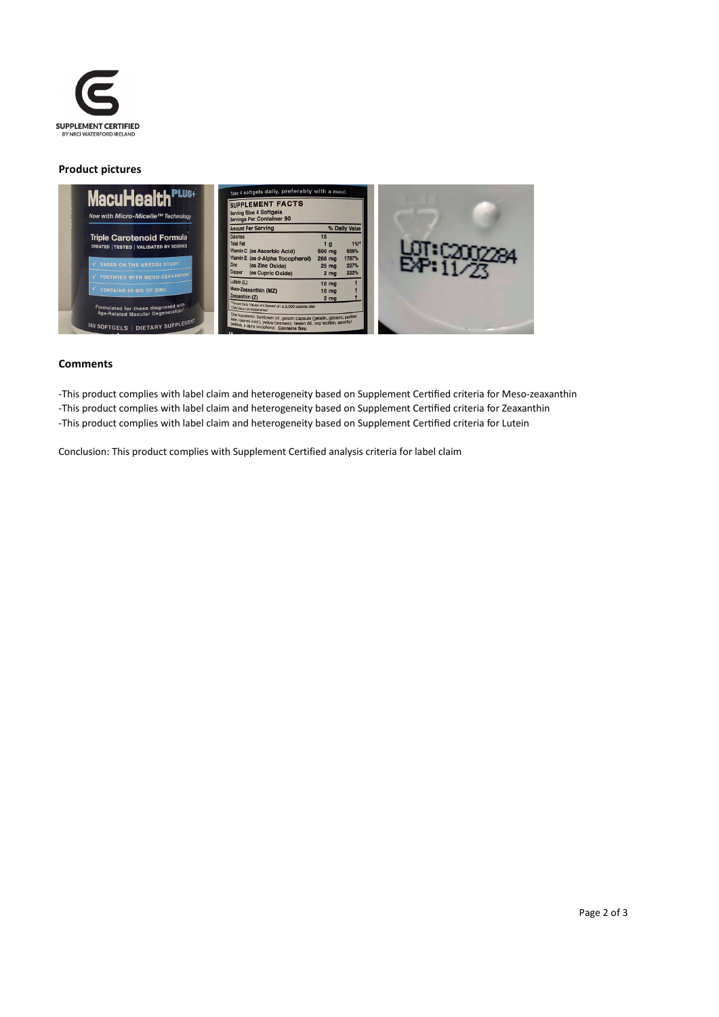

#### **Product pictures**



#### **Comments**

-This product complies with label claim and heterogeneity based on Supplement Certified criteria for Meso-zeaxanthin -This product complies with label claim and heterogeneity based on Supplement Certified criteria for Zeaxanthin -This product complies with label claim and heterogeneity based on Supplement Certified criteria for Lutein

Conclusion: This product complies with Supplement Certified analysis criteria for label claim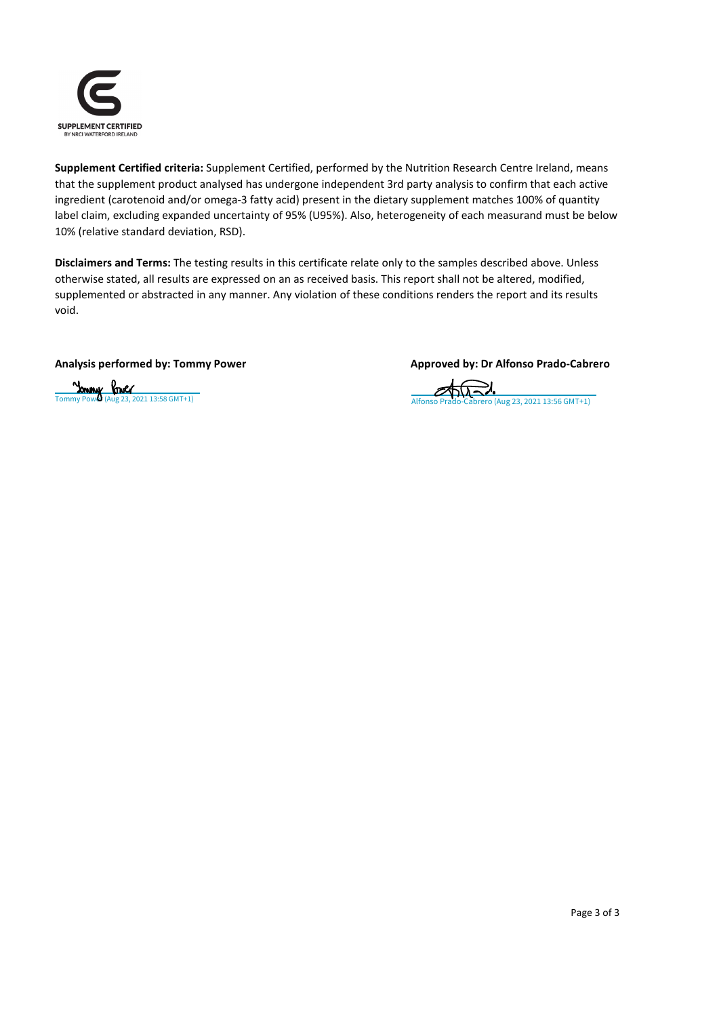

**Supplement Certified criteria:** Supplement Certified, performed by the Nutrition Research Centre Ireland, means that the supplement product analysed has undergone independent 3rd party analysis to confirm that each active ingredient (carotenoid and/or omega‐3 fatty acid) present in the dietary supplement matches 100% of quantity label claim, excluding expanded uncertainty of 95% (U95%). Also, heterogeneity of each measurand must be below 10% (relative standard deviation, RSD).

**Disclaimers and Terms:** The testing results in this certificate relate only to the samples described above. Unless otherwise stated, all results are expressed on an as received basis. This report shall not be altered, modified, supplemented or abstracted in any manner. Any violation of these conditions renders the report and its results void.

#### **Analysis performed by: Tommy Power Approved by: Dr Alfonso Prado‐Cabrero**

# $\frac{1}{\text{Common} \times \text{Power}}$  Power (Aug 23, 2021 13:58 GMT+1)  $\frac{1}{\text{Common} \times \text{Power}}$  (Aug 23, 2021 13:56 GMT+1)